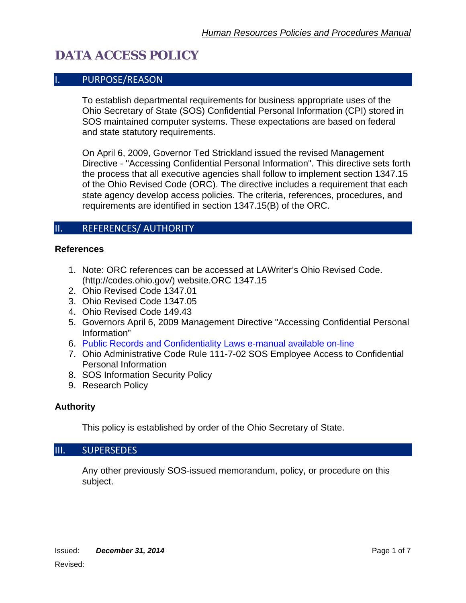### I. PURPOSE/REASON

To establish departmental requirements for business appropriate uses of the Ohio Secretary of State (SOS) Confidential Personal Information (CPI) stored in SOS maintained computer systems. These expectations are based on federal and state statutory requirements.

On April 6, 2009, Governor Ted Strickland issued the revised Management Directive - "Accessing Confidential Personal Information". This directive sets forth the process that all executive agencies shall follow to implement section 1347.15 of the Ohio Revised Code (ORC). The directive includes a requirement that each state agency develop access policies. The criteria, references, procedures, and requirements are identified in section 1347.15(B) of the ORC.

### II. REFERENCES/ AUTHORITY

#### **References**

- 1. Note: ORC references can be accessed at LAWriter's Ohio Revised Code. (http://codes.ohio.gov/) website.ORC 1347.15
- 2. Ohio Revised Code 1347.01
- 3. Ohio Revised Code 1347.05
- 4. Ohio Revised Code 149.43
- 5. Governors April 6, 2009 Management Directive "Accessing Confidential Personal Information"
- 6. [Public Records and Confidentiality Laws e-manual available on-line](http://www.ohioattorneygeneral.gov/Files/Publications/Publications-for-Legal/Sunshine-Laws/2012-Sunshine-Laws-Manual.aspx)
- 7. Ohio Administrative Code Rule 111-7-02 SOS Employee Access to Confidential Personal Information
- 8. SOS Information Security Policy
- 9. Research Policy

#### **Authority**

This policy is established by order of the Ohio Secretary of State.

#### III. SUPERSEDES

Any other previously SOS-issued memorandum, policy, or procedure on this subject.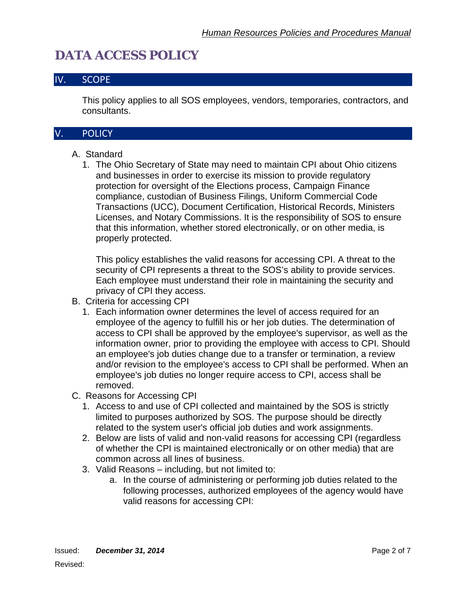### IV. SCOPE

This policy applies to all SOS employees, vendors, temporaries, contractors, and consultants.

### V. POLICY

### A. Standard

1. The Ohio Secretary of State may need to maintain CPI about Ohio citizens and businesses in order to exercise its mission to provide regulatory protection for oversight of the Elections process, Campaign Finance compliance, custodian of Business Filings, Uniform Commercial Code Transactions (UCC), Document Certification, Historical Records, Ministers Licenses, and Notary Commissions. It is the responsibility of SOS to ensure that this information, whether stored electronically, or on other media, is properly protected.

This policy establishes the valid reasons for accessing CPI. A threat to the security of CPI represents a threat to the SOS's ability to provide services. Each employee must understand their role in maintaining the security and privacy of CPI they access.

#### B. Criteria for accessing CPI

- 1. Each information owner determines the level of access required for an employee of the agency to fulfill his or her job duties. The determination of access to CPI shall be approved by the employee's supervisor, as well as the information owner, prior to providing the employee with access to CPI. Should an employee's job duties change due to a transfer or termination, a review and/or revision to the employee's access to CPI shall be performed. When an employee's job duties no longer require access to CPI, access shall be removed.
- C. Reasons for Accessing CPI
	- 1. Access to and use of CPI collected and maintained by the SOS is strictly limited to purposes authorized by SOS. The purpose should be directly related to the system user's official job duties and work assignments.
	- 2. Below are lists of valid and non-valid reasons for accessing CPI (regardless of whether the CPI is maintained electronically or on other media) that are common across all lines of business.
	- 3. Valid Reasons including, but not limited to:
		- a. In the course of administering or performing job duties related to the following processes, authorized employees of the agency would have valid reasons for accessing CPI: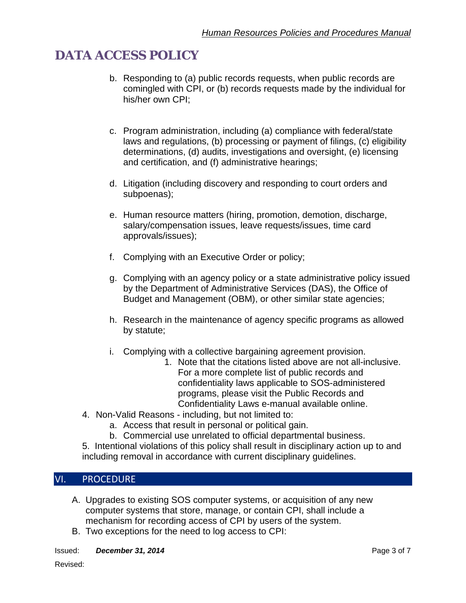- b. Responding to (a) public records requests, when public records are comingled with CPI, or (b) records requests made by the individual for his/her own CPI;
- c. Program administration, including (a) compliance with federal/state laws and regulations, (b) processing or payment of filings, (c) eligibility determinations, (d) audits, investigations and oversight, (e) licensing and certification, and (f) administrative hearings;
- d. Litigation (including discovery and responding to court orders and subpoenas);
- e. Human resource matters (hiring, promotion, demotion, discharge, salary/compensation issues, leave requests/issues, time card approvals/issues);
- f. Complying with an Executive Order or policy;
- g. Complying with an agency policy or a state administrative policy issued by the Department of Administrative Services (DAS), the Office of Budget and Management (OBM), or other similar state agencies;
- h. Research in the maintenance of agency specific programs as allowed by statute;
- i. Complying with a collective bargaining agreement provision.
	- 1. Note that the citations listed above are not all-inclusive. For a more complete list of public records and confidentiality laws applicable to SOS-administered programs, please visit the Public Records and Confidentiality Laws e-manual available online.
- 4. Non-Valid Reasons including, but not limited to:
	- a. Access that result in personal or political gain.
	- b. Commercial use unrelated to official departmental business.

5. Intentional violations of this policy shall result in disciplinary action up to and including removal in accordance with current disciplinary guidelines.

### VI. PROCEDURE

- A. Upgrades to existing SOS computer systems, or acquisition of any new computer systems that store, manage, or contain CPI, shall include a mechanism for recording access of CPI by users of the system.
- B. Two exceptions for the need to log access to CPI:
- **Issued:** *December 31, 2014* **Page 3 of 7 Page 3 of 7 Page 3 of 7**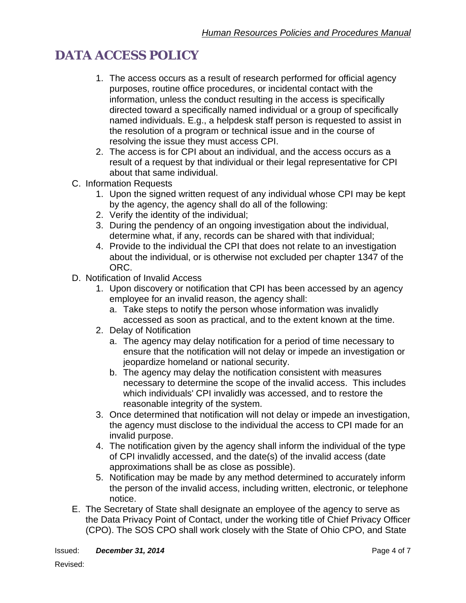- 1. The access occurs as a result of research performed for official agency purposes, routine office procedures, or incidental contact with the information, unless the conduct resulting in the access is specifically directed toward a specifically named individual or a group of specifically named individuals. E.g., a helpdesk staff person is requested to assist in the resolution of a program or technical issue and in the course of resolving the issue they must access CPI.
- 2. The access is for CPI about an individual, and the access occurs as a result of a request by that individual or their legal representative for CPI about that same individual.
- C. Information Requests
	- 1. Upon the signed written request of any individual whose CPI may be kept by the agency, the agency shall do all of the following:
	- 2. Verify the identity of the individual;
	- 3. During the pendency of an ongoing investigation about the individual, determine what, if any, records can be shared with that individual;
	- 4. Provide to the individual the CPI that does not relate to an investigation about the individual, or is otherwise not excluded per chapter 1347 of the ORC.
- D. Notification of Invalid Access
	- 1. Upon discovery or notification that CPI has been accessed by an agency employee for an invalid reason, the agency shall:
		- a. Take steps to notify the person whose information was invalidly accessed as soon as practical, and to the extent known at the time.
	- 2. Delay of Notification
		- a. The agency may delay notification for a period of time necessary to ensure that the notification will not delay or impede an investigation or jeopardize homeland or national security.
		- b. The agency may delay the notification consistent with measures necessary to determine the scope of the invalid access. This includes which individuals' CPI invalidly was accessed, and to restore the reasonable integrity of the system.
	- 3. Once determined that notification will not delay or impede an investigation, the agency must disclose to the individual the access to CPI made for an invalid purpose.
	- 4. The notification given by the agency shall inform the individual of the type of CPI invalidly accessed, and the date(s) of the invalid access (date approximations shall be as close as possible).
	- 5. Notification may be made by any method determined to accurately inform the person of the invalid access, including written, electronic, or telephone notice.
- E. The Secretary of State shall designate an employee of the agency to serve as the Data Privacy Point of Contact, under the working title of Chief Privacy Officer (CPO). The SOS CPO shall work closely with the State of Ohio CPO, and State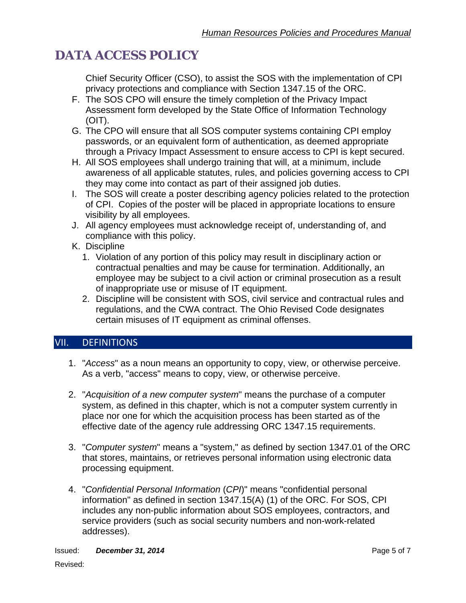Chief Security Officer (CSO), to assist the SOS with the implementation of CPI privacy protections and compliance with Section 1347.15 of the ORC.

- F. The SOS CPO will ensure the timely completion of the Privacy Impact Assessment form developed by the State Office of Information Technology (OIT).
- G. The CPO will ensure that all SOS computer systems containing CPI employ passwords, or an equivalent form of authentication, as deemed appropriate through a Privacy Impact Assessment to ensure access to CPI is kept secured.
- H. All SOS employees shall undergo training that will, at a minimum, include awareness of all applicable statutes, rules, and policies governing access to CPI they may come into contact as part of their assigned job duties.
- I. The SOS will create a poster describing agency policies related to the protection of CPI. Copies of the poster will be placed in appropriate locations to ensure visibility by all employees.
- J. All agency employees must acknowledge receipt of, understanding of, and compliance with this policy.
- K. Discipline
	- 1. Violation of any portion of this policy may result in disciplinary action or contractual penalties and may be cause for termination. Additionally, an employee may be subject to a civil action or criminal prosecution as a result of inappropriate use or misuse of IT equipment.
	- 2. Discipline will be consistent with SOS, civil service and contractual rules and regulations, and the CWA contract. The Ohio Revised Code designates certain misuses of IT equipment as criminal offenses.

### VII. DEFINITIONS

- 1. "*Access*" as a noun means an opportunity to copy, view, or otherwise perceive. As a verb, "access" means to copy, view, or otherwise perceive.
- 2. "*Acquisition of a new computer system*" means the purchase of a computer system, as defined in this chapter, which is not a computer system currently in place nor one for which the acquisition process has been started as of the effective date of the agency rule addressing ORC 1347.15 requirements.
- 3. "*Computer system*" means a "system," as defined by section 1347.01 of the ORC that stores, maintains, or retrieves personal information using electronic data processing equipment.
- 4. "*Confidential Personal Information* (*CPI*)" means "confidential personal information" as defined in section 1347.15(A) (1) of the ORC. For SOS, CPI includes any non-public information about SOS employees, contractors, and service providers (such as social security numbers and non-work-related addresses).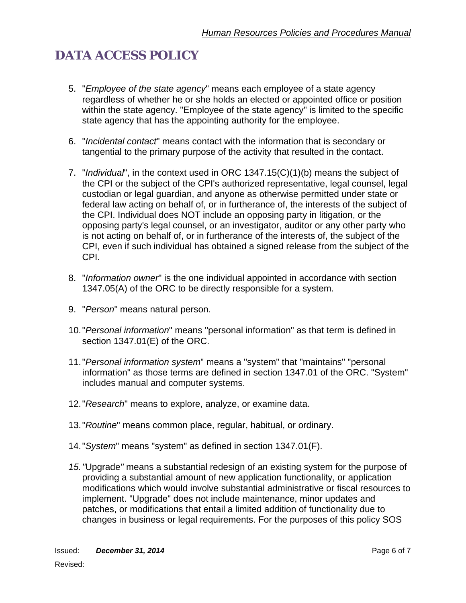- 5. "*Employee of the state agency*" means each employee of a state agency regardless of whether he or she holds an elected or appointed office or position within the state agency. "Employee of the state agency" is limited to the specific state agency that has the appointing authority for the employee.
- 6. "*Incidental contact*" means contact with the information that is secondary or tangential to the primary purpose of the activity that resulted in the contact.
- 7. "*Individual*", in the context used in ORC 1347.15(C)(1)(b) means the subject of the CPI or the subject of the CPI's authorized representative, legal counsel, legal custodian or legal guardian, and anyone as otherwise permitted under state or federal law acting on behalf of, or in furtherance of, the interests of the subject of the CPI. Individual does NOT include an opposing party in litigation, or the opposing party's legal counsel, or an investigator, auditor or any other party who is not acting on behalf of, or in furtherance of the interests of, the subject of the CPI, even if such individual has obtained a signed release from the subject of the CPI.
- 8. "*Information owner*" is the one individual appointed in accordance with section 1347.05(A) of the ORC to be directly responsible for a system.
- 9. "*Person*" means natural person.
- 10."*Personal information*" means "personal information" as that term is defined in section 1347.01(E) of the ORC.
- 11."*Personal information system*" means a "system" that "maintains" "personal information" as those terms are defined in section 1347.01 of the ORC. "System" includes manual and computer systems.
- 12."*Research*" means to explore, analyze, or examine data.
- 13."*Routine*" means common place, regular, habitual, or ordinary.
- 14."*System*" means "system" as defined in section 1347.01(F).
- *15."*Upgrade*"* means a substantial redesign of an existing system for the purpose of providing a substantial amount of new application functionality, or application modifications which would involve substantial administrative or fiscal resources to implement. "Upgrade" does not include maintenance, minor updates and patches, or modifications that entail a limited addition of functionality due to changes in business or legal requirements. For the purposes of this policy SOS